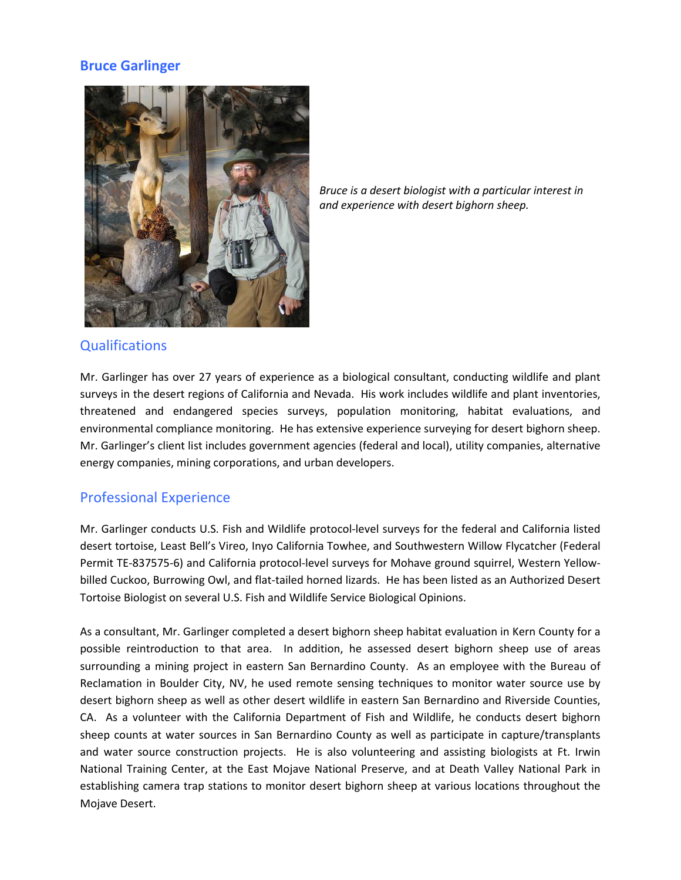# **Bruce Garlinger**



*Bruce is a desert biologist with a particular interest in and experience with desert bighorn sheep.*

### **Qualifications**

Mr. Garlinger has over 27 years of experience as a biological consultant, conducting wildlife and plant surveys in the desert regions of California and Nevada. His work includes wildlife and plant inventories, threatened and endangered species surveys, population monitoring, habitat evaluations, and environmental compliance monitoring. He has extensive experience surveying for desert bighorn sheep. Mr. Garlinger's client list includes government agencies (federal and local), utility companies, alternative energy companies, mining corporations, and urban developers.

#### Professional Experience

Mr. Garlinger conducts U.S. Fish and Wildlife protocol-level surveys for the federal and California listed desert tortoise, Least Bell's Vireo, Inyo California Towhee, and Southwestern Willow Flycatcher (Federal Permit TE-837575-6) and California protocol-level surveys for Mohave ground squirrel, Western Yellowbilled Cuckoo, Burrowing Owl, and flat-tailed horned lizards. He has been listed as an Authorized Desert Tortoise Biologist on several U.S. Fish and Wildlife Service Biological Opinions.

As a consultant, Mr. Garlinger completed a desert bighorn sheep habitat evaluation in Kern County for a possible reintroduction to that area. In addition, he assessed desert bighorn sheep use of areas surrounding a mining project in eastern San Bernardino County. As an employee with the Bureau of Reclamation in Boulder City, NV, he used remote sensing techniques to monitor water source use by desert bighorn sheep as well as other desert wildlife in eastern San Bernardino and Riverside Counties, CA. As a volunteer with the California Department of Fish and Wildlife, he conducts desert bighorn sheep counts at water sources in San Bernardino County as well as participate in capture/transplants and water source construction projects. He is also volunteering and assisting biologists at Ft. Irwin National Training Center, at the East Mojave National Preserve, and at Death Valley National Park in establishing camera trap stations to monitor desert bighorn sheep at various locations throughout the Mojave Desert.